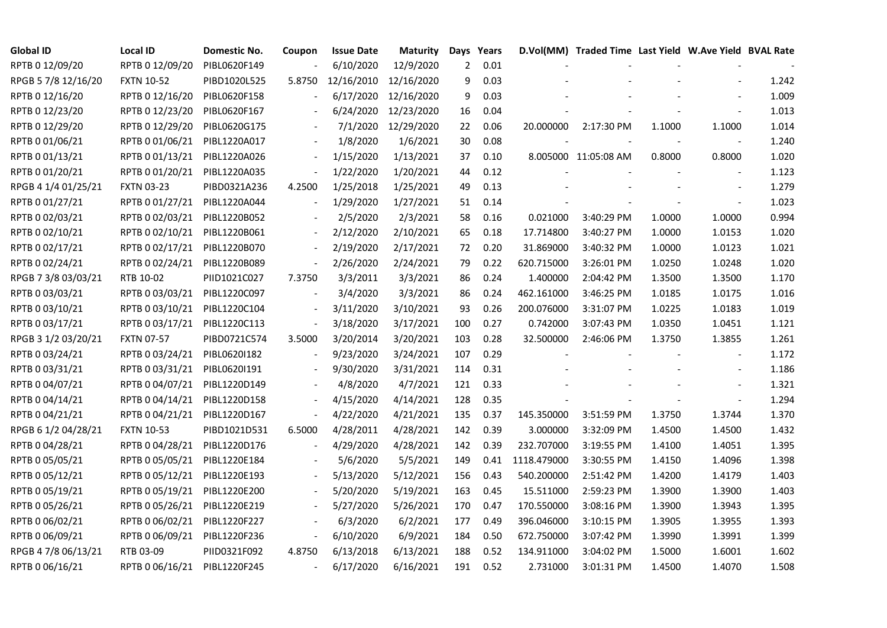| <b>Global ID</b>    | <b>Local ID</b>   | Domestic No. | Coupon                   | <b>Issue Date</b> | <b>Maturity</b> |     | Days Years |             | D.Vol(MM) Traded Time Last Yield W.Ave Yield BVAL Rate |        |                          |       |
|---------------------|-------------------|--------------|--------------------------|-------------------|-----------------|-----|------------|-------------|--------------------------------------------------------|--------|--------------------------|-------|
| RPTB 0 12/09/20     | RPTB 0 12/09/20   | PIBL0620F149 |                          | 6/10/2020         | 12/9/2020       | 2   | 0.01       |             |                                                        |        |                          |       |
| RPGB 5 7/8 12/16/20 | <b>FXTN 10-52</b> | PIBD1020L525 | 5.8750                   | 12/16/2010        | 12/16/2020      | 9   | 0.03       |             |                                                        |        |                          | 1.242 |
| RPTB 0 12/16/20     | RPTB 0 12/16/20   | PIBL0620F158 |                          | 6/17/2020         | 12/16/2020      | 9   | 0.03       |             |                                                        |        |                          | 1.009 |
| RPTB 0 12/23/20     | RPTB 0 12/23/20   | PIBL0620F167 |                          | 6/24/2020         | 12/23/2020      | 16  | 0.04       |             |                                                        |        |                          | 1.013 |
| RPTB 0 12/29/20     | RPTB 0 12/29/20   | PIBL0620G175 |                          | 7/1/2020          | 12/29/2020      | 22  | 0.06       | 20.000000   | 2:17:30 PM                                             | 1.1000 | 1.1000                   | 1.014 |
| RPTB 0 01/06/21     | RPTB 0 01/06/21   | PIBL1220A017 |                          | 1/8/2020          | 1/6/2021        | 30  | 0.08       |             |                                                        |        |                          | 1.240 |
| RPTB 0 01/13/21     | RPTB 0 01/13/21   | PIBL1220A026 |                          | 1/15/2020         | 1/13/2021       | 37  | 0.10       |             | 8.005000 11:05:08 AM                                   | 0.8000 | 0.8000                   | 1.020 |
| RPTB 0 01/20/21     | RPTB 0 01/20/21   | PIBL1220A035 | $\blacksquare$           | 1/22/2020         | 1/20/2021       | 44  | 0.12       |             |                                                        |        |                          | 1.123 |
| RPGB 4 1/4 01/25/21 | <b>FXTN 03-23</b> | PIBD0321A236 | 4.2500                   | 1/25/2018         | 1/25/2021       | 49  | 0.13       |             |                                                        |        |                          | 1.279 |
| RPTB 0 01/27/21     | RPTB 0 01/27/21   | PIBL1220A044 |                          | 1/29/2020         | 1/27/2021       | 51  | 0.14       |             |                                                        |        |                          | 1.023 |
| RPTB 0 02/03/21     | RPTB 0 02/03/21   | PIBL1220B052 |                          | 2/5/2020          | 2/3/2021        | 58  | 0.16       | 0.021000    | 3:40:29 PM                                             | 1.0000 | 1.0000                   | 0.994 |
| RPTB 0 02/10/21     | RPTB 0 02/10/21   | PIBL1220B061 | $\overline{\phantom{a}}$ | 2/12/2020         | 2/10/2021       | 65  | 0.18       | 17.714800   | 3:40:27 PM                                             | 1.0000 | 1.0153                   | 1.020 |
| RPTB 0 02/17/21     | RPTB 0 02/17/21   | PIBL1220B070 |                          | 2/19/2020         | 2/17/2021       | 72  | 0.20       | 31.869000   | 3:40:32 PM                                             | 1.0000 | 1.0123                   | 1.021 |
| RPTB 0 02/24/21     | RPTB 0 02/24/21   | PIBL1220B089 | $\blacksquare$           | 2/26/2020         | 2/24/2021       | 79  | 0.22       | 620.715000  | 3:26:01 PM                                             | 1.0250 | 1.0248                   | 1.020 |
| RPGB 7 3/8 03/03/21 | RTB 10-02         | PIID1021C027 | 7.3750                   | 3/3/2011          | 3/3/2021        | 86  | 0.24       | 1.400000    | 2:04:42 PM                                             | 1.3500 | 1.3500                   | 1.170 |
| RPTB 0 03/03/21     | RPTB 0 03/03/21   | PIBL1220C097 |                          | 3/4/2020          | 3/3/2021        | 86  | 0.24       | 462.161000  | 3:46:25 PM                                             | 1.0185 | 1.0175                   | 1.016 |
| RPTB 0 03/10/21     | RPTB 0 03/10/21   | PIBL1220C104 |                          | 3/11/2020         | 3/10/2021       | 93  | 0.26       | 200.076000  | 3:31:07 PM                                             | 1.0225 | 1.0183                   | 1.019 |
| RPTB 0 03/17/21     | RPTB 0 03/17/21   | PIBL1220C113 | $\blacksquare$           | 3/18/2020         | 3/17/2021       | 100 | 0.27       | 0.742000    | 3:07:43 PM                                             | 1.0350 | 1.0451                   | 1.121 |
| RPGB 3 1/2 03/20/21 | <b>FXTN 07-57</b> | PIBD0721C574 | 3.5000                   | 3/20/2014         | 3/20/2021       | 103 | 0.28       | 32.500000   | 2:46:06 PM                                             | 1.3750 | 1.3855                   | 1.261 |
| RPTB 0 03/24/21     | RPTB 0 03/24/21   | PIBL06201182 |                          | 9/23/2020         | 3/24/2021       | 107 | 0.29       |             |                                                        |        | $\overline{\phantom{a}}$ | 1.172 |
| RPTB 0 03/31/21     | RPTB 0 03/31/21   | PIBL0620I191 |                          | 9/30/2020         | 3/31/2021       | 114 | 0.31       |             |                                                        |        | $\overline{\phantom{a}}$ | 1.186 |
| RPTB 0 04/07/21     | RPTB 0 04/07/21   | PIBL1220D149 |                          | 4/8/2020          | 4/7/2021        | 121 | 0.33       |             |                                                        |        |                          | 1.321 |
| RPTB 0 04/14/21     | RPTB 0 04/14/21   | PIBL1220D158 |                          | 4/15/2020         | 4/14/2021       | 128 | 0.35       |             |                                                        |        |                          | 1.294 |
| RPTB 0 04/21/21     | RPTB 0 04/21/21   | PIBL1220D167 | $\overline{\phantom{a}}$ | 4/22/2020         | 4/21/2021       | 135 | 0.37       | 145.350000  | 3:51:59 PM                                             | 1.3750 | 1.3744                   | 1.370 |
| RPGB 6 1/2 04/28/21 | <b>FXTN 10-53</b> | PIBD1021D531 | 6.5000                   | 4/28/2011         | 4/28/2021       | 142 | 0.39       | 3.000000    | 3:32:09 PM                                             | 1.4500 | 1.4500                   | 1.432 |
| RPTB 0 04/28/21     | RPTB 0 04/28/21   | PIBL1220D176 |                          | 4/29/2020         | 4/28/2021       | 142 | 0.39       | 232.707000  | 3:19:55 PM                                             | 1.4100 | 1.4051                   | 1.395 |
| RPTB 0 05/05/21     | RPTB 0 05/05/21   | PIBL1220E184 |                          | 5/6/2020          | 5/5/2021        | 149 | 0.41       | 1118.479000 | 3:30:55 PM                                             | 1.4150 | 1.4096                   | 1.398 |
| RPTB 0 05/12/21     | RPTB 0 05/12/21   | PIBL1220E193 |                          | 5/13/2020         | 5/12/2021       | 156 | 0.43       | 540.200000  | 2:51:42 PM                                             | 1.4200 | 1.4179                   | 1.403 |
| RPTB 0 05/19/21     | RPTB 0 05/19/21   | PIBL1220E200 |                          | 5/20/2020         | 5/19/2021       | 163 | 0.45       | 15.511000   | 2:59:23 PM                                             | 1.3900 | 1.3900                   | 1.403 |
| RPTB 0 05/26/21     | RPTB 0 05/26/21   | PIBL1220E219 |                          | 5/27/2020         | 5/26/2021       | 170 | 0.47       | 170.550000  | 3:08:16 PM                                             | 1.3900 | 1.3943                   | 1.395 |
| RPTB 0 06/02/21     | RPTB 0 06/02/21   | PIBL1220F227 |                          | 6/3/2020          | 6/2/2021        | 177 | 0.49       | 396.046000  | 3:10:15 PM                                             | 1.3905 | 1.3955                   | 1.393 |
| RPTB 0 06/09/21     | RPTB 0 06/09/21   | PIBL1220F236 | $\overline{\phantom{a}}$ | 6/10/2020         | 6/9/2021        | 184 | 0.50       | 672.750000  | 3:07:42 PM                                             | 1.3990 | 1.3991                   | 1.399 |
| RPGB 4 7/8 06/13/21 | RTB 03-09         | PIID0321F092 | 4.8750                   | 6/13/2018         | 6/13/2021       | 188 | 0.52       | 134.911000  | 3:04:02 PM                                             | 1.5000 | 1.6001                   | 1.602 |
| RPTB 0 06/16/21     | RPTB 0 06/16/21   | PIBL1220F245 | $\blacksquare$           | 6/17/2020         | 6/16/2021       | 191 | 0.52       | 2.731000    | 3:01:31 PM                                             | 1.4500 | 1.4070                   | 1.508 |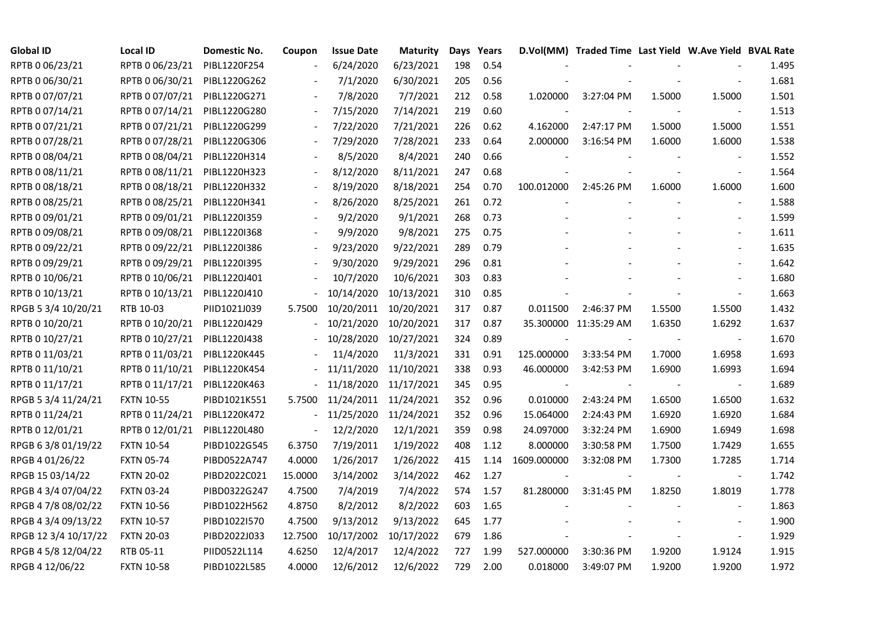| <b>Global ID</b>     | <b>Local ID</b>   | Domestic No. | Coupon                   | <b>Issue Date</b> | <b>Maturity</b> |     | Days Years |                          | D.Vol(MM) Traded Time Last Yield W.Ave Yield BVAL Rate |        |                          |       |
|----------------------|-------------------|--------------|--------------------------|-------------------|-----------------|-----|------------|--------------------------|--------------------------------------------------------|--------|--------------------------|-------|
| RPTB 0 06/23/21      | RPTB 0 06/23/21   | PIBL1220F254 |                          | 6/24/2020         | 6/23/2021       | 198 | 0.54       |                          |                                                        |        |                          | 1.495 |
| RPTB 0 06/30/21      | RPTB 0 06/30/21   | PIBL1220G262 |                          | 7/1/2020          | 6/30/2021       | 205 | 0.56       |                          |                                                        |        |                          | 1.681 |
| RPTB 0 07/07/21      | RPTB 0 07/07/21   | PIBL1220G271 |                          | 7/8/2020          | 7/7/2021        | 212 | 0.58       | 1.020000                 | 3:27:04 PM                                             | 1.5000 | 1.5000                   | 1.501 |
| RPTB 0 07/14/21      | RPTB 0 07/14/21   | PIBL1220G280 | $\overline{\phantom{a}}$ | 7/15/2020         | 7/14/2021       | 219 | 0.60       |                          |                                                        |        | $\blacksquare$           | 1.513 |
| RPTB 0 07/21/21      | RPTB 0 07/21/21   | PIBL1220G299 |                          | 7/22/2020         | 7/21/2021       | 226 | 0.62       | 4.162000                 | 2:47:17 PM                                             | 1.5000 | 1.5000                   | 1.551 |
| RPTB 0 07/28/21      | RPTB 0 07/28/21   | PIBL1220G306 |                          | 7/29/2020         | 7/28/2021       | 233 | 0.64       | 2.000000                 | 3:16:54 PM                                             | 1.6000 | 1.6000                   | 1.538 |
| RPTB 0 08/04/21      | RPTB 0 08/04/21   | PIBL1220H314 |                          | 8/5/2020          | 8/4/2021        | 240 | 0.66       |                          |                                                        |        |                          | 1.552 |
| RPTB 0 08/11/21      | RPTB 0 08/11/21   | PIBL1220H323 |                          | 8/12/2020         | 8/11/2021       | 247 | 0.68       |                          |                                                        |        | $\overline{\phantom{a}}$ | 1.564 |
| RPTB 0 08/18/21      | RPTB 0 08/18/21   | PIBL1220H332 |                          | 8/19/2020         | 8/18/2021       | 254 | 0.70       | 100.012000               | 2:45:26 PM                                             | 1.6000 | 1.6000                   | 1.600 |
| RPTB 0 08/25/21      | RPTB 0 08/25/21   | PIBL1220H341 | $\overline{\phantom{a}}$ | 8/26/2020         | 8/25/2021       | 261 | 0.72       |                          |                                                        |        |                          | 1.588 |
| RPTB 0 09/01/21      | RPTB 0 09/01/21   | PIBL1220I359 |                          | 9/2/2020          | 9/1/2021        | 268 | 0.73       |                          |                                                        |        |                          | 1.599 |
| RPTB 0 09/08/21      | RPTB 0 09/08/21   | PIBL1220I368 |                          | 9/9/2020          | 9/8/2021        | 275 | 0.75       |                          |                                                        |        |                          | 1.611 |
| RPTB 0 09/22/21      | RPTB 0 09/22/21   | PIBL1220I386 |                          | 9/23/2020         | 9/22/2021       | 289 | 0.79       |                          |                                                        |        | $\blacksquare$           | 1.635 |
| RPTB 0 09/29/21      | RPTB 0 09/29/21   | PIBL1220I395 |                          | 9/30/2020         | 9/29/2021       | 296 | 0.81       |                          |                                                        |        |                          | 1.642 |
| RPTB 0 10/06/21      | RPTB 0 10/06/21   | PIBL1220J401 |                          | 10/7/2020         | 10/6/2021       | 303 | 0.83       |                          |                                                        |        |                          | 1.680 |
| RPTB 0 10/13/21      | RPTB 0 10/13/21   | PIBL1220J410 |                          | 10/14/2020        | 10/13/2021      | 310 | 0.85       |                          |                                                        |        |                          | 1.663 |
| RPGB 5 3/4 10/20/21  | RTB 10-03         | PIID1021J039 | 5.7500                   | 10/20/2011        | 10/20/2021      | 317 | 0.87       | 0.011500                 | 2:46:37 PM                                             | 1.5500 | 1.5500                   | 1.432 |
| RPTB 0 10/20/21      | RPTB 0 10/20/21   | PIBL1220J429 |                          | 10/21/2020        | 10/20/2021      | 317 | 0.87       |                          | 35.300000 11:35:29 AM                                  | 1.6350 | 1.6292                   | 1.637 |
| RPTB 0 10/27/21      | RPTB 0 10/27/21   | PIBL1220J438 |                          | 10/28/2020        | 10/27/2021      | 324 | 0.89       |                          |                                                        |        |                          | 1.670 |
| RPTB 0 11/03/21      | RPTB 0 11/03/21   | PIBL1220K445 |                          | 11/4/2020         | 11/3/2021       | 331 | 0.91       | 125.000000               | 3:33:54 PM                                             | 1.7000 | 1.6958                   | 1.693 |
| RPTB 0 11/10/21      | RPTB 0 11/10/21   | PIBL1220K454 |                          | 11/11/2020        | 11/10/2021      | 338 | 0.93       | 46.000000                | 3:42:53 PM                                             | 1.6900 | 1.6993                   | 1.694 |
| RPTB 0 11/17/21      | RPTB 0 11/17/21   | PIBL1220K463 |                          | 11/18/2020        | 11/17/2021      | 345 | 0.95       | $\overline{\phantom{a}}$ |                                                        |        | $\sim$                   | 1.689 |
| RPGB 5 3/4 11/24/21  | <b>FXTN 10-55</b> | PIBD1021K551 | 5.7500                   | 11/24/2011        | 11/24/2021      | 352 | 0.96       | 0.010000                 | 2:43:24 PM                                             | 1.6500 | 1.6500                   | 1.632 |
| RPTB 0 11/24/21      | RPTB 0 11/24/21   | PIBL1220K472 |                          | 11/25/2020        | 11/24/2021      | 352 | 0.96       | 15.064000                | 2:24:43 PM                                             | 1.6920 | 1.6920                   | 1.684 |
| RPTB 0 12/01/21      | RPTB 0 12/01/21   | PIBL1220L480 | $\blacksquare$           | 12/2/2020         | 12/1/2021       | 359 | 0.98       | 24.097000                | 3:32:24 PM                                             | 1.6900 | 1.6949                   | 1.698 |
| RPGB 63/8 01/19/22   | <b>FXTN 10-54</b> | PIBD1022G545 | 6.3750                   | 7/19/2011         | 1/19/2022       | 408 | 1.12       | 8.000000                 | 3:30:58 PM                                             | 1.7500 | 1.7429                   | 1.655 |
| RPGB 4 01/26/22      | <b>FXTN 05-74</b> | PIBD0522A747 | 4.0000                   | 1/26/2017         | 1/26/2022       | 415 | 1.14       | 1609.000000              | 3:32:08 PM                                             | 1.7300 | 1.7285                   | 1.714 |
| RPGB 15 03/14/22     | <b>FXTN 20-02</b> | PIBD2022C021 | 15.0000                  | 3/14/2002         | 3/14/2022       | 462 | 1.27       |                          |                                                        |        | $\overline{\phantom{a}}$ | 1.742 |
| RPGB 4 3/4 07/04/22  | <b>FXTN 03-24</b> | PIBD0322G247 | 4.7500                   | 7/4/2019          | 7/4/2022        | 574 | 1.57       | 81.280000                | 3:31:45 PM                                             | 1.8250 | 1.8019                   | 1.778 |
| RPGB 4 7/8 08/02/22  | <b>FXTN 10-56</b> | PIBD1022H562 | 4.8750                   | 8/2/2012          | 8/2/2022        | 603 | 1.65       |                          |                                                        |        |                          | 1.863 |
| RPGB 4 3/4 09/13/22  | <b>FXTN 10-57</b> | PIBD1022I570 | 4.7500                   | 9/13/2012         | 9/13/2022       | 645 | 1.77       |                          |                                                        |        |                          | 1.900 |
| RPGB 12 3/4 10/17/22 | <b>FXTN 20-03</b> | PIBD2022J033 | 12.7500                  | 10/17/2002        | 10/17/2022      | 679 | 1.86       |                          |                                                        |        | $\overline{\phantom{a}}$ | 1.929 |
| RPGB 4 5/8 12/04/22  | RTB 05-11         | PIID0522L114 | 4.6250                   | 12/4/2017         | 12/4/2022       | 727 | 1.99       | 527.000000               | 3:30:36 PM                                             | 1.9200 | 1.9124                   | 1.915 |
| RPGB 4 12/06/22      | <b>FXTN 10-58</b> | PIBD1022L585 | 4.0000                   | 12/6/2012         | 12/6/2022       | 729 | 2.00       | 0.018000                 | 3:49:07 PM                                             | 1.9200 | 1.9200                   | 1.972 |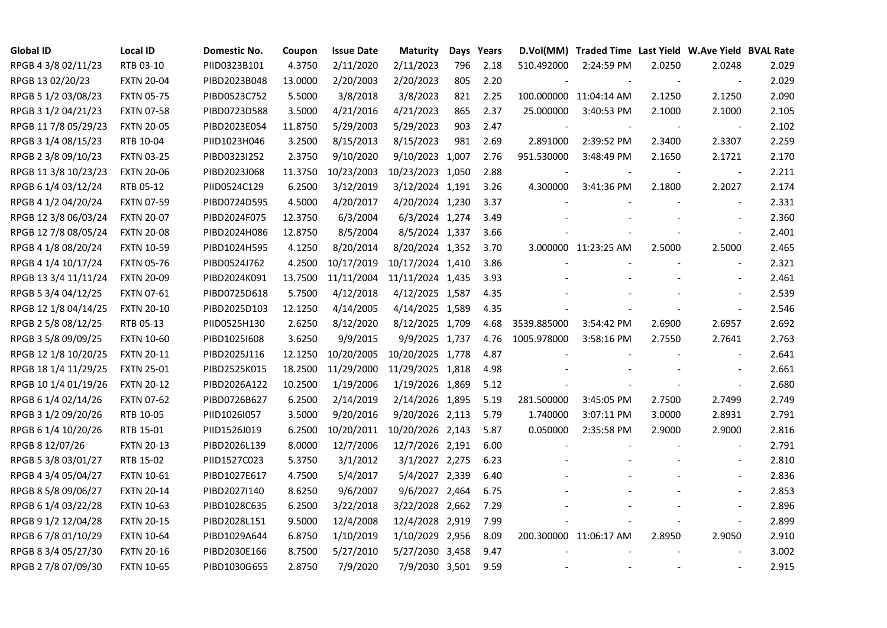| <b>Global ID</b>     | <b>Local ID</b>   | Domestic No. | Coupon  | <b>Issue Date</b> | <b>Maturity</b>  | Days | Years |             | D.Vol(MM) Traded Time Last Yield W.Ave Yield BVAL Rate |        |                          |       |
|----------------------|-------------------|--------------|---------|-------------------|------------------|------|-------|-------------|--------------------------------------------------------|--------|--------------------------|-------|
| RPGB 4 3/8 02/11/23  | RTB 03-10         | PIID0323B101 | 4.3750  | 2/11/2020         | 2/11/2023        | 796  | 2.18  | 510.492000  | 2:24:59 PM                                             | 2.0250 | 2.0248                   | 2.029 |
| RPGB 13 02/20/23     | <b>FXTN 20-04</b> | PIBD2023B048 | 13.0000 | 2/20/2003         | 2/20/2023        | 805  | 2.20  |             |                                                        |        |                          | 2.029 |
| RPGB 5 1/2 03/08/23  | <b>FXTN 05-75</b> | PIBD0523C752 | 5.5000  | 3/8/2018          | 3/8/2023         | 821  | 2.25  |             | 100.000000 11:04:14 AM                                 | 2.1250 | 2.1250                   | 2.090 |
| RPGB 3 1/2 04/21/23  | <b>FXTN 07-58</b> | PIBD0723D588 | 3.5000  | 4/21/2016         | 4/21/2023        | 865  | 2.37  | 25.000000   | 3:40:53 PM                                             | 2.1000 | 2.1000                   | 2.105 |
| RPGB 11 7/8 05/29/23 | <b>FXTN 20-05</b> | PIBD2023E054 | 11.8750 | 5/29/2003         | 5/29/2023        | 903  | 2.47  |             |                                                        |        | $\overline{\phantom{a}}$ | 2.102 |
| RPGB 3 1/4 08/15/23  | RTB 10-04         | PIID1023H046 | 3.2500  | 8/15/2013         | 8/15/2023        | 981  | 2.69  | 2.891000    | 2:39:52 PM                                             | 2.3400 | 2.3307                   | 2.259 |
| RPGB 2 3/8 09/10/23  | <b>FXTN 03-25</b> | PIBD0323I252 | 2.3750  | 9/10/2020         | 9/10/2023 1,007  |      | 2.76  | 951.530000  | 3:48:49 PM                                             | 2.1650 | 2.1721                   | 2.170 |
| RPGB 11 3/8 10/23/23 | <b>FXTN 20-06</b> | PIBD2023J068 | 11.3750 | 10/23/2003        | 10/23/2023 1,050 |      | 2.88  |             |                                                        |        | $\overline{\phantom{a}}$ | 2.211 |
| RPGB 6 1/4 03/12/24  | RTB 05-12         | PIID0524C129 | 6.2500  | 3/12/2019         | 3/12/2024 1,191  |      | 3.26  | 4.300000    | 3:41:36 PM                                             | 2.1800 | 2.2027                   | 2.174 |
| RPGB 4 1/2 04/20/24  | <b>FXTN 07-59</b> | PIBD0724D595 | 4.5000  | 4/20/2017         | 4/20/2024 1,230  |      | 3.37  |             |                                                        |        | $\blacksquare$           | 2.331 |
| RPGB 12 3/8 06/03/24 | <b>FXTN 20-07</b> | PIBD2024F075 | 12.3750 | 6/3/2004          | 6/3/2024 1,274   |      | 3.49  |             |                                                        |        |                          | 2.360 |
| RPGB 12 7/8 08/05/24 | <b>FXTN 20-08</b> | PIBD2024H086 | 12.8750 | 8/5/2004          | 8/5/2024 1,337   |      | 3.66  |             |                                                        |        |                          | 2.401 |
| RPGB 4 1/8 08/20/24  | <b>FXTN 10-59</b> | PIBD1024H595 | 4.1250  | 8/20/2014         | 8/20/2024 1,352  |      | 3.70  |             | 3.000000 11:23:25 AM                                   | 2.5000 | 2.5000                   | 2.465 |
| RPGB 4 1/4 10/17/24  | <b>FXTN 05-76</b> | PIBD0524J762 | 4.2500  | 10/17/2019        | 10/17/2024 1,410 |      | 3.86  |             |                                                        |        | $\sim$                   | 2.321 |
| RPGB 13 3/4 11/11/24 | <b>FXTN 20-09</b> | PIBD2024K091 | 13.7500 | 11/11/2004        | 11/11/2024 1,435 |      | 3.93  |             |                                                        |        |                          | 2.461 |
| RPGB 5 3/4 04/12/25  | <b>FXTN 07-61</b> | PIBD0725D618 | 5.7500  | 4/12/2018         | 4/12/2025 1,587  |      | 4.35  |             |                                                        |        |                          | 2.539 |
| RPGB 12 1/8 04/14/25 | <b>FXTN 20-10</b> | PIBD2025D103 | 12.1250 | 4/14/2005         | 4/14/2025 1,589  |      | 4.35  |             |                                                        |        |                          | 2.546 |
| RPGB 2 5/8 08/12/25  | RTB 05-13         | PIID0525H130 | 2.6250  | 8/12/2020         | 8/12/2025 1,709  |      | 4.68  | 3539.885000 | 3:54:42 PM                                             | 2.6900 | 2.6957                   | 2.692 |
| RPGB 3 5/8 09/09/25  | <b>FXTN 10-60</b> | PIBD10251608 | 3.6250  | 9/9/2015          | 9/9/2025 1,737   |      | 4.76  | 1005.978000 | 3:58:16 PM                                             | 2.7550 | 2.7641                   | 2.763 |
| RPGB 12 1/8 10/20/25 | <b>FXTN 20-11</b> | PIBD2025J116 | 12.1250 | 10/20/2005        | 10/20/2025 1,778 |      | 4.87  |             |                                                        |        | $\blacksquare$           | 2.641 |
| RPGB 18 1/4 11/29/25 | <b>FXTN 25-01</b> | PIBD2525K015 | 18.2500 | 11/29/2000        | 11/29/2025 1,818 |      | 4.98  |             |                                                        |        |                          | 2.661 |
| RPGB 10 1/4 01/19/26 | <b>FXTN 20-12</b> | PIBD2026A122 | 10.2500 | 1/19/2006         | 1/19/2026 1,869  |      | 5.12  |             |                                                        |        |                          | 2.680 |
| RPGB 6 1/4 02/14/26  | <b>FXTN 07-62</b> | PIBD0726B627 | 6.2500  | 2/14/2019         | 2/14/2026 1,895  |      | 5.19  | 281.500000  | 3:45:05 PM                                             | 2.7500 | 2.7499                   | 2.749 |
| RPGB 3 1/2 09/20/26  | RTB 10-05         | PIID1026I057 | 3.5000  | 9/20/2016         | 9/20/2026 2,113  |      | 5.79  | 1.740000    | 3:07:11 PM                                             | 3.0000 | 2.8931                   | 2.791 |
| RPGB 6 1/4 10/20/26  | RTB 15-01         | PIID1526J019 | 6.2500  | 10/20/2011        | 10/20/2026 2,143 |      | 5.87  | 0.050000    | 2:35:58 PM                                             | 2.9000 | 2.9000                   | 2.816 |
| RPGB 8 12/07/26      | <b>FXTN 20-13</b> | PIBD2026L139 | 8.0000  | 12/7/2006         | 12/7/2026 2,191  |      | 6.00  |             |                                                        |        | $\blacksquare$           | 2.791 |
| RPGB 5 3/8 03/01/27  | RTB 15-02         | PIID1527C023 | 5.3750  | 3/1/2012          | 3/1/2027 2,275   |      | 6.23  |             |                                                        |        | $\blacksquare$           | 2.810 |
| RPGB 4 3/4 05/04/27  | <b>FXTN 10-61</b> | PIBD1027E617 | 4.7500  | 5/4/2017          | 5/4/2027 2,339   |      | 6.40  |             |                                                        |        |                          | 2.836 |
| RPGB 8 5/8 09/06/27  | <b>FXTN 20-14</b> | PIBD2027I140 | 8.6250  | 9/6/2007          | 9/6/2027 2,464   |      | 6.75  |             |                                                        |        |                          | 2.853 |
| RPGB 6 1/4 03/22/28  | <b>FXTN 10-63</b> | PIBD1028C635 | 6.2500  | 3/22/2018         | 3/22/2028 2,662  |      | 7.29  |             |                                                        |        |                          | 2.896 |
| RPGB 9 1/2 12/04/28  | <b>FXTN 20-15</b> | PIBD2028L151 | 9.5000  | 12/4/2008         | 12/4/2028 2,919  |      | 7.99  |             |                                                        |        | $\sim$                   | 2.899 |
| RPGB 6 7/8 01/10/29  | <b>FXTN 10-64</b> | PIBD1029A644 | 6.8750  | 1/10/2019         | 1/10/2029 2,956  |      | 8.09  |             | 200.300000 11:06:17 AM                                 | 2.8950 | 2.9050                   | 2.910 |
| RPGB 8 3/4 05/27/30  | <b>FXTN 20-16</b> | PIBD2030E166 | 8.7500  | 5/27/2010         | 5/27/2030 3,458  |      | 9.47  |             |                                                        |        |                          | 3.002 |
| RPGB 2 7/8 07/09/30  | <b>FXTN 10-65</b> | PIBD1030G655 | 2.8750  | 7/9/2020          | 7/9/2030 3,501   |      | 9.59  |             |                                                        |        |                          | 2.915 |